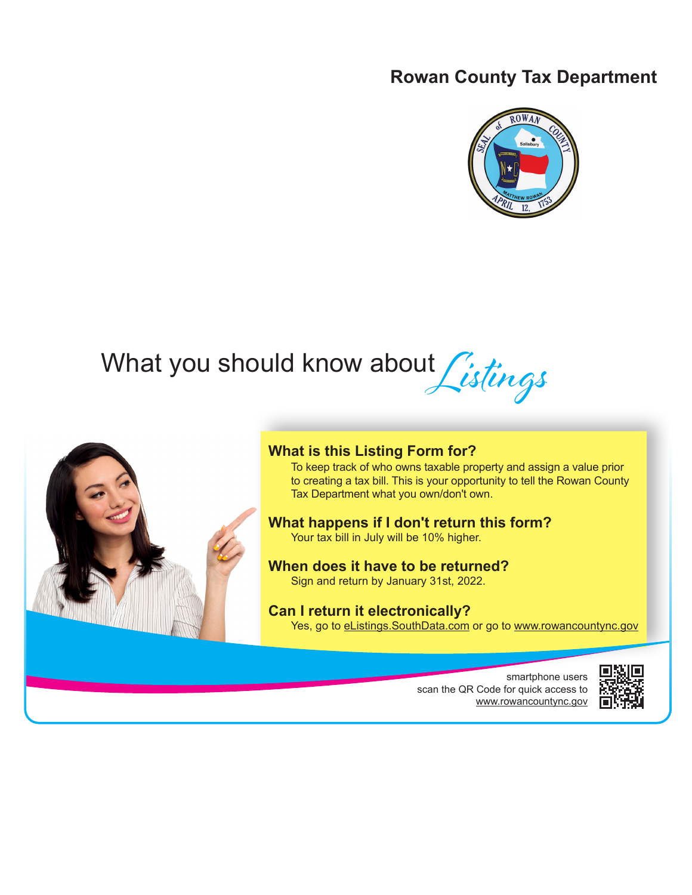## **Rowan County Tax Department**



# What you should know about *Listings*



### **What is this Listing Form for?**

To keep track of who owns taxable property and assign a value prior to creating a tax bill. This is your opportunity to tell the Rowan County Tax Department what you own/don't own.

## **What happens if I don't return this form?**

Your tax bill in July will be 10% higher.

#### **When does it have to be returned?** Sign and return by January 31st, 2022.

## **Can I return it electronically?**

Yes, go to eListings. SouthData.com or go to www.rowancountync.gov

smartphone users scan the QR Code for quick access to www.rowancountync.gov

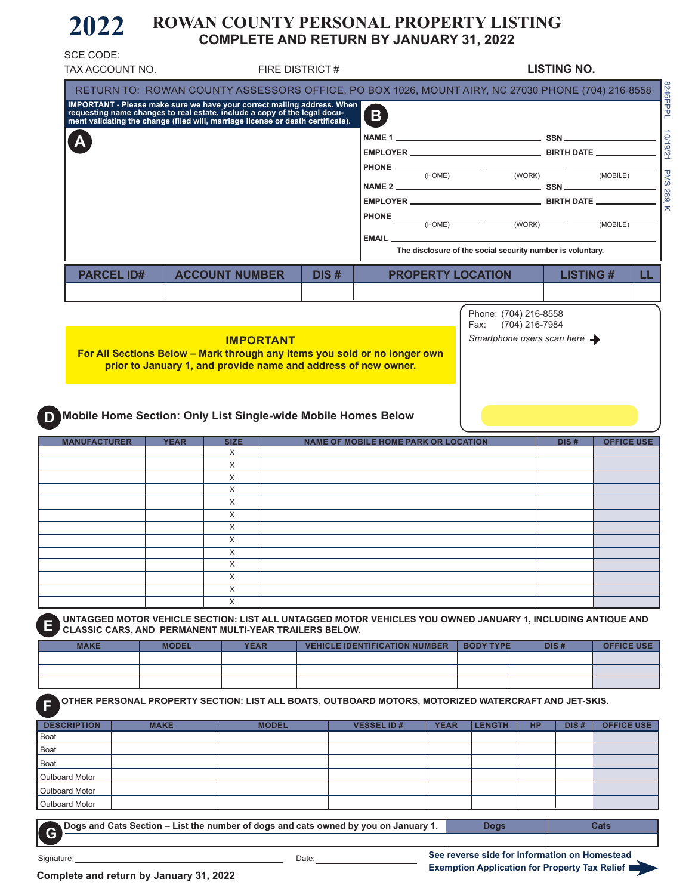#### **2022 ROWAN COUNTY PERSONAL PROPERTY LISTING COMPLETE AND RETURN BY JANUARY 31, 2022**

| RETURN TO: ROWAN COUNTY ASSESSORS OFFICE, PO BOX 1026, MOUNT AIRY, NC 27030 PHONE (704) 216-8558<br>IMPORTANT - Please make sure we have your correct mailing address. When<br>requesting name changes to real estate, include a copy of the legal docu-<br>ment validating the change (filed will, marriage license or death certificat<br>B)<br>$\mathbf{A}$<br>$HONE$ (HOME)<br>$\overline{\phantom{a}}$ (WORK)<br>(MOBILE)<br>$PHONE$ (HOME)<br>(WORK)<br>(MOBILE)<br>EMAIL __<br>The disclosure of the social security number is voluntary.<br><b>PARCEL ID#</b><br><b>ACCOUNT NUMBER</b><br>DIS#<br><b>PROPERTY LOCATION</b><br><b>LISTING#</b><br>Phone: (704) 216-8558<br>(704) 216-7984<br>Fax:<br>Smartphone users scan here $\rightarrow$<br><b>IMPORTANT</b><br>For All Sections Below - Mark through any items you sold or no longer own<br>prior to January 1, and provide name and address of new owner.<br>Mobile Home Section: Only List Single-wide Mobile Homes Below<br><b>MANUFACTURER</b><br><b>NAME OF MOBILE HOME PARK OR LOCATION</b><br><b>YEAR</b><br><b>SIZE</b><br>DIS#<br>X<br>X<br>X<br>X<br>X<br>X<br>X<br>X<br>X<br>X<br>X<br>X<br>X<br>CLASSIC CARS, AND PERMANENT MULTI-YEAR TRAILERS BELOW.<br><b>MAKE</b><br><b>YEAR</b><br><b>VEHICLE IDENTIFICATION NUMBER</b><br><b>BODY TYPE</b><br>DIS#<br><b>MODEL</b><br>OTHER PERSONAL PROPERTY SECTION: LIST ALL BOATS, OUTBOARD MOTORS, MOTORIZED WATERCRAFT AND JET-SKIS.<br><b>VESSEL ID#</b><br><b>MAKE</b><br><b>MODEL</b><br><b>YEAR</b><br><b>LENGTH</b><br><b>HP</b><br>DIS#<br>Dogs and Cats Section - List the number of dogs and cats owned by you on January 1.<br><b>Dogs</b><br>Cats<br>See reverse side for Information on Homestead<br>Date:<br>Signature: |                                                    | TAX ACCOUNT NO. | FIRE DISTRICT# |  | <b>LISTING NO.</b> |  |
|----------------------------------------------------------------------------------------------------------------------------------------------------------------------------------------------------------------------------------------------------------------------------------------------------------------------------------------------------------------------------------------------------------------------------------------------------------------------------------------------------------------------------------------------------------------------------------------------------------------------------------------------------------------------------------------------------------------------------------------------------------------------------------------------------------------------------------------------------------------------------------------------------------------------------------------------------------------------------------------------------------------------------------------------------------------------------------------------------------------------------------------------------------------------------------------------------------------------------------------------------------------------------------------------------------------------------------------------------------------------------------------------------------------------------------------------------------------------------------------------------------------------------------------------------------------------------------------------------------------------------------------------------------------------------------------------------------------------------------------------------------|----------------------------------------------------|-----------------|----------------|--|--------------------|--|
|                                                                                                                                                                                                                                                                                                                                                                                                                                                                                                                                                                                                                                                                                                                                                                                                                                                                                                                                                                                                                                                                                                                                                                                                                                                                                                                                                                                                                                                                                                                                                                                                                                                                                                                                                          |                                                    |                 |                |  |                    |  |
| LL.<br><b>OFFICE USE</b><br>UNTAGGED MOTOR VEHICLE SECTION: LIST ALL UNTAGGED MOTOR VEHICLES YOU OWNED JANUARY 1, INCLUDING ANTIQUE AND<br><b>OFFICE USE</b><br><b>OFFICE USE</b>                                                                                                                                                                                                                                                                                                                                                                                                                                                                                                                                                                                                                                                                                                                                                                                                                                                                                                                                                                                                                                                                                                                                                                                                                                                                                                                                                                                                                                                                                                                                                                        |                                                    |                 |                |  |                    |  |
|                                                                                                                                                                                                                                                                                                                                                                                                                                                                                                                                                                                                                                                                                                                                                                                                                                                                                                                                                                                                                                                                                                                                                                                                                                                                                                                                                                                                                                                                                                                                                                                                                                                                                                                                                          |                                                    |                 |                |  |                    |  |
|                                                                                                                                                                                                                                                                                                                                                                                                                                                                                                                                                                                                                                                                                                                                                                                                                                                                                                                                                                                                                                                                                                                                                                                                                                                                                                                                                                                                                                                                                                                                                                                                                                                                                                                                                          |                                                    |                 |                |  |                    |  |
|                                                                                                                                                                                                                                                                                                                                                                                                                                                                                                                                                                                                                                                                                                                                                                                                                                                                                                                                                                                                                                                                                                                                                                                                                                                                                                                                                                                                                                                                                                                                                                                                                                                                                                                                                          |                                                    |                 |                |  |                    |  |
|                                                                                                                                                                                                                                                                                                                                                                                                                                                                                                                                                                                                                                                                                                                                                                                                                                                                                                                                                                                                                                                                                                                                                                                                                                                                                                                                                                                                                                                                                                                                                                                                                                                                                                                                                          |                                                    |                 |                |  |                    |  |
|                                                                                                                                                                                                                                                                                                                                                                                                                                                                                                                                                                                                                                                                                                                                                                                                                                                                                                                                                                                                                                                                                                                                                                                                                                                                                                                                                                                                                                                                                                                                                                                                                                                                                                                                                          |                                                    |                 |                |  |                    |  |
|                                                                                                                                                                                                                                                                                                                                                                                                                                                                                                                                                                                                                                                                                                                                                                                                                                                                                                                                                                                                                                                                                                                                                                                                                                                                                                                                                                                                                                                                                                                                                                                                                                                                                                                                                          |                                                    |                 |                |  |                    |  |
|                                                                                                                                                                                                                                                                                                                                                                                                                                                                                                                                                                                                                                                                                                                                                                                                                                                                                                                                                                                                                                                                                                                                                                                                                                                                                                                                                                                                                                                                                                                                                                                                                                                                                                                                                          |                                                    |                 |                |  |                    |  |
|                                                                                                                                                                                                                                                                                                                                                                                                                                                                                                                                                                                                                                                                                                                                                                                                                                                                                                                                                                                                                                                                                                                                                                                                                                                                                                                                                                                                                                                                                                                                                                                                                                                                                                                                                          |                                                    |                 |                |  |                    |  |
|                                                                                                                                                                                                                                                                                                                                                                                                                                                                                                                                                                                                                                                                                                                                                                                                                                                                                                                                                                                                                                                                                                                                                                                                                                                                                                                                                                                                                                                                                                                                                                                                                                                                                                                                                          |                                                    |                 |                |  |                    |  |
|                                                                                                                                                                                                                                                                                                                                                                                                                                                                                                                                                                                                                                                                                                                                                                                                                                                                                                                                                                                                                                                                                                                                                                                                                                                                                                                                                                                                                                                                                                                                                                                                                                                                                                                                                          |                                                    |                 |                |  |                    |  |
|                                                                                                                                                                                                                                                                                                                                                                                                                                                                                                                                                                                                                                                                                                                                                                                                                                                                                                                                                                                                                                                                                                                                                                                                                                                                                                                                                                                                                                                                                                                                                                                                                                                                                                                                                          |                                                    |                 |                |  |                    |  |
|                                                                                                                                                                                                                                                                                                                                                                                                                                                                                                                                                                                                                                                                                                                                                                                                                                                                                                                                                                                                                                                                                                                                                                                                                                                                                                                                                                                                                                                                                                                                                                                                                                                                                                                                                          |                                                    |                 |                |  |                    |  |
|                                                                                                                                                                                                                                                                                                                                                                                                                                                                                                                                                                                                                                                                                                                                                                                                                                                                                                                                                                                                                                                                                                                                                                                                                                                                                                                                                                                                                                                                                                                                                                                                                                                                                                                                                          |                                                    |                 |                |  |                    |  |
|                                                                                                                                                                                                                                                                                                                                                                                                                                                                                                                                                                                                                                                                                                                                                                                                                                                                                                                                                                                                                                                                                                                                                                                                                                                                                                                                                                                                                                                                                                                                                                                                                                                                                                                                                          |                                                    |                 |                |  |                    |  |
|                                                                                                                                                                                                                                                                                                                                                                                                                                                                                                                                                                                                                                                                                                                                                                                                                                                                                                                                                                                                                                                                                                                                                                                                                                                                                                                                                                                                                                                                                                                                                                                                                                                                                                                                                          |                                                    |                 |                |  |                    |  |
|                                                                                                                                                                                                                                                                                                                                                                                                                                                                                                                                                                                                                                                                                                                                                                                                                                                                                                                                                                                                                                                                                                                                                                                                                                                                                                                                                                                                                                                                                                                                                                                                                                                                                                                                                          |                                                    |                 |                |  |                    |  |
|                                                                                                                                                                                                                                                                                                                                                                                                                                                                                                                                                                                                                                                                                                                                                                                                                                                                                                                                                                                                                                                                                                                                                                                                                                                                                                                                                                                                                                                                                                                                                                                                                                                                                                                                                          |                                                    |                 |                |  |                    |  |
|                                                                                                                                                                                                                                                                                                                                                                                                                                                                                                                                                                                                                                                                                                                                                                                                                                                                                                                                                                                                                                                                                                                                                                                                                                                                                                                                                                                                                                                                                                                                                                                                                                                                                                                                                          |                                                    |                 |                |  |                    |  |
|                                                                                                                                                                                                                                                                                                                                                                                                                                                                                                                                                                                                                                                                                                                                                                                                                                                                                                                                                                                                                                                                                                                                                                                                                                                                                                                                                                                                                                                                                                                                                                                                                                                                                                                                                          |                                                    |                 |                |  |                    |  |
|                                                                                                                                                                                                                                                                                                                                                                                                                                                                                                                                                                                                                                                                                                                                                                                                                                                                                                                                                                                                                                                                                                                                                                                                                                                                                                                                                                                                                                                                                                                                                                                                                                                                                                                                                          |                                                    |                 |                |  |                    |  |
|                                                                                                                                                                                                                                                                                                                                                                                                                                                                                                                                                                                                                                                                                                                                                                                                                                                                                                                                                                                                                                                                                                                                                                                                                                                                                                                                                                                                                                                                                                                                                                                                                                                                                                                                                          |                                                    |                 |                |  |                    |  |
|                                                                                                                                                                                                                                                                                                                                                                                                                                                                                                                                                                                                                                                                                                                                                                                                                                                                                                                                                                                                                                                                                                                                                                                                                                                                                                                                                                                                                                                                                                                                                                                                                                                                                                                                                          |                                                    |                 |                |  |                    |  |
|                                                                                                                                                                                                                                                                                                                                                                                                                                                                                                                                                                                                                                                                                                                                                                                                                                                                                                                                                                                                                                                                                                                                                                                                                                                                                                                                                                                                                                                                                                                                                                                                                                                                                                                                                          |                                                    |                 |                |  |                    |  |
|                                                                                                                                                                                                                                                                                                                                                                                                                                                                                                                                                                                                                                                                                                                                                                                                                                                                                                                                                                                                                                                                                                                                                                                                                                                                                                                                                                                                                                                                                                                                                                                                                                                                                                                                                          |                                                    |                 |                |  |                    |  |
|                                                                                                                                                                                                                                                                                                                                                                                                                                                                                                                                                                                                                                                                                                                                                                                                                                                                                                                                                                                                                                                                                                                                                                                                                                                                                                                                                                                                                                                                                                                                                                                                                                                                                                                                                          |                                                    |                 |                |  |                    |  |
|                                                                                                                                                                                                                                                                                                                                                                                                                                                                                                                                                                                                                                                                                                                                                                                                                                                                                                                                                                                                                                                                                                                                                                                                                                                                                                                                                                                                                                                                                                                                                                                                                                                                                                                                                          |                                                    |                 |                |  |                    |  |
|                                                                                                                                                                                                                                                                                                                                                                                                                                                                                                                                                                                                                                                                                                                                                                                                                                                                                                                                                                                                                                                                                                                                                                                                                                                                                                                                                                                                                                                                                                                                                                                                                                                                                                                                                          |                                                    |                 |                |  |                    |  |
|                                                                                                                                                                                                                                                                                                                                                                                                                                                                                                                                                                                                                                                                                                                                                                                                                                                                                                                                                                                                                                                                                                                                                                                                                                                                                                                                                                                                                                                                                                                                                                                                                                                                                                                                                          |                                                    |                 |                |  |                    |  |
|                                                                                                                                                                                                                                                                                                                                                                                                                                                                                                                                                                                                                                                                                                                                                                                                                                                                                                                                                                                                                                                                                                                                                                                                                                                                                                                                                                                                                                                                                                                                                                                                                                                                                                                                                          |                                                    |                 |                |  |                    |  |
|                                                                                                                                                                                                                                                                                                                                                                                                                                                                                                                                                                                                                                                                                                                                                                                                                                                                                                                                                                                                                                                                                                                                                                                                                                                                                                                                                                                                                                                                                                                                                                                                                                                                                                                                                          |                                                    |                 |                |  |                    |  |
|                                                                                                                                                                                                                                                                                                                                                                                                                                                                                                                                                                                                                                                                                                                                                                                                                                                                                                                                                                                                                                                                                                                                                                                                                                                                                                                                                                                                                                                                                                                                                                                                                                                                                                                                                          |                                                    |                 |                |  |                    |  |
|                                                                                                                                                                                                                                                                                                                                                                                                                                                                                                                                                                                                                                                                                                                                                                                                                                                                                                                                                                                                                                                                                                                                                                                                                                                                                                                                                                                                                                                                                                                                                                                                                                                                                                                                                          |                                                    |                 |                |  |                    |  |
|                                                                                                                                                                                                                                                                                                                                                                                                                                                                                                                                                                                                                                                                                                                                                                                                                                                                                                                                                                                                                                                                                                                                                                                                                                                                                                                                                                                                                                                                                                                                                                                                                                                                                                                                                          |                                                    |                 |                |  |                    |  |
|                                                                                                                                                                                                                                                                                                                                                                                                                                                                                                                                                                                                                                                                                                                                                                                                                                                                                                                                                                                                                                                                                                                                                                                                                                                                                                                                                                                                                                                                                                                                                                                                                                                                                                                                                          |                                                    |                 |                |  |                    |  |
|                                                                                                                                                                                                                                                                                                                                                                                                                                                                                                                                                                                                                                                                                                                                                                                                                                                                                                                                                                                                                                                                                                                                                                                                                                                                                                                                                                                                                                                                                                                                                                                                                                                                                                                                                          |                                                    |                 |                |  |                    |  |
|                                                                                                                                                                                                                                                                                                                                                                                                                                                                                                                                                                                                                                                                                                                                                                                                                                                                                                                                                                                                                                                                                                                                                                                                                                                                                                                                                                                                                                                                                                                                                                                                                                                                                                                                                          |                                                    |                 |                |  |                    |  |
|                                                                                                                                                                                                                                                                                                                                                                                                                                                                                                                                                                                                                                                                                                                                                                                                                                                                                                                                                                                                                                                                                                                                                                                                                                                                                                                                                                                                                                                                                                                                                                                                                                                                                                                                                          |                                                    |                 |                |  |                    |  |
|                                                                                                                                                                                                                                                                                                                                                                                                                                                                                                                                                                                                                                                                                                                                                                                                                                                                                                                                                                                                                                                                                                                                                                                                                                                                                                                                                                                                                                                                                                                                                                                                                                                                                                                                                          |                                                    |                 |                |  |                    |  |
|                                                                                                                                                                                                                                                                                                                                                                                                                                                                                                                                                                                                                                                                                                                                                                                                                                                                                                                                                                                                                                                                                                                                                                                                                                                                                                                                                                                                                                                                                                                                                                                                                                                                                                                                                          |                                                    |                 |                |  |                    |  |
|                                                                                                                                                                                                                                                                                                                                                                                                                                                                                                                                                                                                                                                                                                                                                                                                                                                                                                                                                                                                                                                                                                                                                                                                                                                                                                                                                                                                                                                                                                                                                                                                                                                                                                                                                          |                                                    |                 |                |  |                    |  |
|                                                                                                                                                                                                                                                                                                                                                                                                                                                                                                                                                                                                                                                                                                                                                                                                                                                                                                                                                                                                                                                                                                                                                                                                                                                                                                                                                                                                                                                                                                                                                                                                                                                                                                                                                          | <b>DESCRIPTION</b>                                 |                 |                |  |                    |  |
|                                                                                                                                                                                                                                                                                                                                                                                                                                                                                                                                                                                                                                                                                                                                                                                                                                                                                                                                                                                                                                                                                                                                                                                                                                                                                                                                                                                                                                                                                                                                                                                                                                                                                                                                                          |                                                    |                 |                |  |                    |  |
|                                                                                                                                                                                                                                                                                                                                                                                                                                                                                                                                                                                                                                                                                                                                                                                                                                                                                                                                                                                                                                                                                                                                                                                                                                                                                                                                                                                                                                                                                                                                                                                                                                                                                                                                                          |                                                    |                 |                |  |                    |  |
|                                                                                                                                                                                                                                                                                                                                                                                                                                                                                                                                                                                                                                                                                                                                                                                                                                                                                                                                                                                                                                                                                                                                                                                                                                                                                                                                                                                                                                                                                                                                                                                                                                                                                                                                                          |                                                    |                 |                |  |                    |  |
|                                                                                                                                                                                                                                                                                                                                                                                                                                                                                                                                                                                                                                                                                                                                                                                                                                                                                                                                                                                                                                                                                                                                                                                                                                                                                                                                                                                                                                                                                                                                                                                                                                                                                                                                                          | Outboard Motor<br>Outboard Motor<br>Outboard Motor |                 |                |  |                    |  |

**Exemption Application for Property Tax Relief**